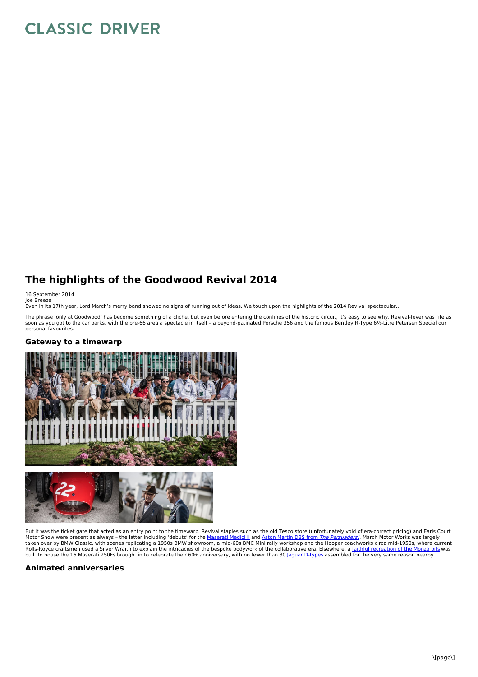# **CLASSIC DRIVER**

## **The highlights of the Goodwood Revival 2014**

16 September 2014

Joe Breeze<br>Even in its 17th year, Lord March's merry band showed no signs of running out of ideas. We touch upon the highlights of the 2014 Revival spectacular…

The phrase 'only at Goodwood' has become something of a cliché, but even before entering the confines of the historic circuit, it's easy to see why. Revival-fever was rife as<br>soon as you got to the car parks, with the pre-

#### **Gateway to a timewarp**



But it was the ticket gate that acted as an entry point to the timewarp. Revival staples such as the old Tesco store (unfortunately void of era-correct pricing) and Earls Court<br>Motor Show were present as always – the latte

### **Animated anniversaries**